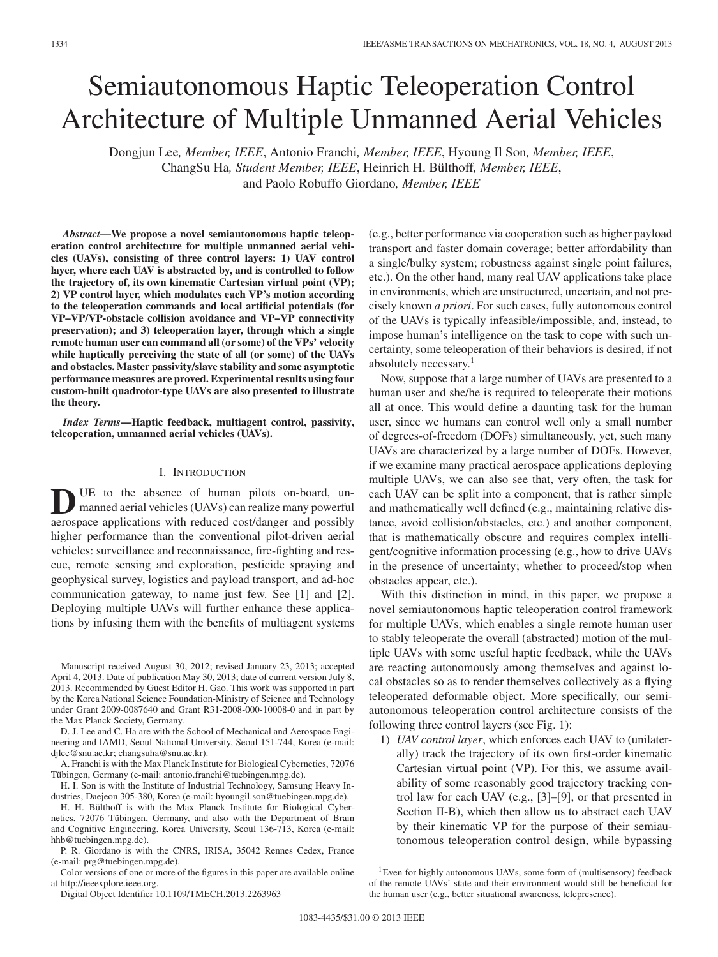# Semiautonomous Haptic Teleoperation Control Architecture of Multiple Unmanned Aerial Vehicles

Dongjun Lee*, Member, IEEE*, Antonio Franchi*, Member, IEEE*, Hyoung Il Son*, Member, IEEE*, ChangSu Ha, Student Member, IEEE, Heinrich H. Bülthoff, Member, IEEE, and Paolo Robuffo Giordano*, Member, IEEE*

*Abstract***—We propose a novel semiautonomous haptic teleoperation control architecture for multiple unmanned aerial vehicles (UAVs), consisting of three control layers: 1) UAV control layer, where each UAV is abstracted by, and is controlled to follow the trajectory of, its own kinematic Cartesian virtual point (VP); 2) VP control layer, which modulates each VP's motion according to the teleoperation commands and local artificial potentials (for VP–VP/VP-obstacle collision avoidance and VP–VP connectivity preservation); and 3) teleoperation layer, through which a single remote human user can command all (or some) of the VPs' velocity while haptically perceiving the state of all (or some) of the UAVs and obstacles. Master passivity/slave stability and some asymptotic performance measures are proved. Experimental results using four custom-built quadrotor-type UAVs are also presented to illustrate the theory.**

*Index Terms***—Haptic feedback, multiagent control, passivity, teleoperation, unmanned aerial vehicles (UAVs).**

## I. INTRODUCTION

UE to the absence of human pilots on-board, unmanned aerial vehicles (UAVs) can realize many powerful aerospace applications with reduced cost/danger and possibly higher performance than the conventional pilot-driven aerial vehicles: surveillance and reconnaissance, fire-fighting and rescue, remote sensing and exploration, pesticide spraying and geophysical survey, logistics and payload transport, and ad-hoc communication gateway, to name just few. See [1] and [2]. Deploying multiple UAVs will further enhance these applications by infusing them with the benefits of multiagent systems

Manuscript received August 30, 2012; revised January 23, 2013; accepted April 4, 2013. Date of publication May 30, 2013; date of current version July 8, 2013. Recommended by Guest Editor H. Gao. This work was supported in part by the Korea National Science Foundation-Ministry of Science and Technology under Grant 2009-0087640 and Grant R31-2008-000-10008-0 and in part by the Max Planck Society, Germany.

D. J. Lee and C. Ha are with the School of Mechanical and Aerospace Engineering and IAMD, Seoul National University, Seoul 151-744, Korea (e-mail: djlee@snu.ac.kr; changsuha@snu.ac.kr).

A. Franchi is with the Max Planck Institute for Biological Cybernetics, 72076 Tübingen, Germany (e-mail: antonio.franchi@tuebingen.mpg.de).

H. I. Son is with the Institute of Industrial Technology, Samsung Heavy Industries, Daejeon 305-380, Korea (e-mail: hyoungil.son@tuebingen.mpg.de).

H. H. Bülthoff is with the Max Planck Institute for Biological Cybernetics, 72076 Tübingen, Germany, and also with the Department of Brain and Cognitive Engineering, Korea University, Seoul 136-713, Korea (e-mail: hhb@tuebingen.mpg.de).

P. R. Giordano is with the CNRS, IRISA, 35042 Rennes Cedex, France (e-mail: prg@tuebingen.mpg.de).

Color versions of one or more of the figures in this paper are available online at http://ieeexplore.ieee.org.

Digital Object Identifier 10.1109/TMECH.2013.2263963

(e.g., better performance via cooperation such as higher payload transport and faster domain coverage; better affordability than a single/bulky system; robustness against single point failures, etc.). On the other hand, many real UAV applications take place in environments, which are unstructured, uncertain, and not precisely known *a priori*. For such cases, fully autonomous control of the UAVs is typically infeasible/impossible, and, instead, to impose human's intelligence on the task to cope with such uncertainty, some teleoperation of their behaviors is desired, if not absolutely necessary.<sup>1</sup>

Now, suppose that a large number of UAVs are presented to a human user and she/he is required to teleoperate their motions all at once. This would define a daunting task for the human user, since we humans can control well only a small number of degrees-of-freedom (DOFs) simultaneously, yet, such many UAVs are characterized by a large number of DOFs. However, if we examine many practical aerospace applications deploying multiple UAVs, we can also see that, very often, the task for each UAV can be split into a component, that is rather simple and mathematically well defined (e.g., maintaining relative distance, avoid collision/obstacles, etc.) and another component, that is mathematically obscure and requires complex intelligent/cognitive information processing (e.g., how to drive UAVs in the presence of uncertainty; whether to proceed/stop when obstacles appear, etc.).

With this distinction in mind, in this paper, we propose a novel semiautonomous haptic teleoperation control framework for multiple UAVs, which enables a single remote human user to stably teleoperate the overall (abstracted) motion of the multiple UAVs with some useful haptic feedback, while the UAVs are reacting autonomously among themselves and against local obstacles so as to render themselves collectively as a flying teleoperated deformable object. More specifically, our semiautonomous teleoperation control architecture consists of the following three control layers (see Fig. 1):

1) *UAV control layer*, which enforces each UAV to (unilaterally) track the trajectory of its own first-order kinematic Cartesian virtual point (VP). For this, we assume availability of some reasonably good trajectory tracking control law for each UAV (e.g., [3]–[9], or that presented in Section II-B), which then allow us to abstract each UAV by their kinematic VP for the purpose of their semiautonomous teleoperation control design, while bypassing

<sup>&</sup>lt;sup>1</sup>Even for highly autonomous UAVs, some form of (multisensory) feedback of the remote UAVs' state and their environment would still be beneficial for the human user (e.g., better situational awareness, telepresence).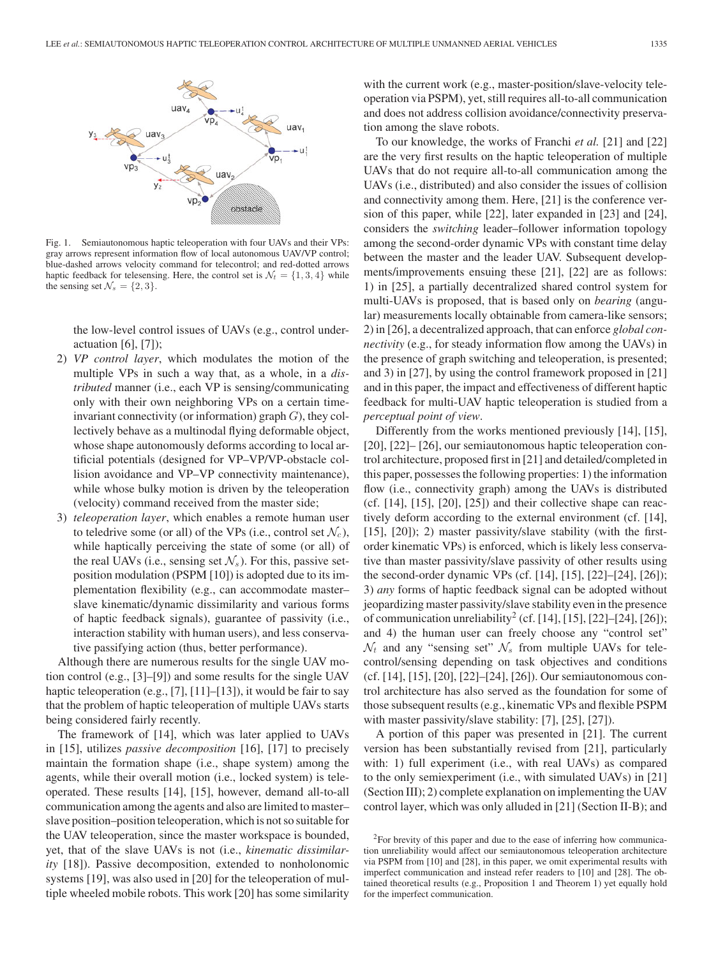

Fig. 1. Semiautonomous haptic teleoperation with four UAVs and their VPs: gray arrows represent information flow of local autonomous UAV/VP control; blue-dashed arrows velocity command for telecontrol; and red-dotted arrows haptic feedback for telesensing. Here, the control set is  $\mathcal{N}_t = \{1, 3, 4\}$  while the sensing set  $\mathcal{N}_s = \{2, 3\}.$ 

the low-level control issues of UAVs (e.g., control underactuation  $[6]$ ,  $[7]$ ;

- 2) *VP control layer*, which modulates the motion of the multiple VPs in such a way that, as a whole, in a *distributed* manner (i.e., each VP is sensing/communicating only with their own neighboring VPs on a certain timeinvariant connectivity (or information) graph  $G$ ), they collectively behave as a multinodal flying deformable object, whose shape autonomously deforms according to local artificial potentials (designed for VP–VP/VP-obstacle collision avoidance and VP–VP connectivity maintenance), while whose bulky motion is driven by the teleoperation (velocity) command received from the master side;
- 3) *teleoperation layer*, which enables a remote human user to teledrive some (or all) of the VPs (i.e., control set  $\mathcal{N}_c$ ), while haptically perceiving the state of some (or all) of the real UAVs (i.e., sensing set  $\mathcal{N}_s$ ). For this, passive setposition modulation (PSPM [10]) is adopted due to its implementation flexibility (e.g., can accommodate master– slave kinematic/dynamic dissimilarity and various forms of haptic feedback signals), guarantee of passivity (i.e., interaction stability with human users), and less conservative passifying action (thus, better performance).

Although there are numerous results for the single UAV motion control (e.g., [3]–[9]) and some results for the single UAV haptic teleoperation (e.g., [7], [11]–[13]), it would be fair to say that the problem of haptic teleoperation of multiple UAVs starts being considered fairly recently.

The framework of [14], which was later applied to UAVs in [15], utilizes *passive decomposition* [16], [17] to precisely maintain the formation shape (i.e., shape system) among the agents, while their overall motion (i.e., locked system) is teleoperated. These results [14], [15], however, demand all-to-all communication among the agents and also are limited to master– slave position–position teleoperation, which is not so suitable for the UAV teleoperation, since the master workspace is bounded, yet, that of the slave UAVs is not (i.e., *kinematic dissimilarity* [18]). Passive decomposition, extended to nonholonomic systems [19], was also used in [20] for the teleoperation of multiple wheeled mobile robots. This work [20] has some similarity

with the current work (e.g., master-position/slave-velocity teleoperation via PSPM), yet, still requires all-to-all communication and does not address collision avoidance/connectivity preservation among the slave robots.

To our knowledge, the works of Franchi *et al.* [21] and [22] are the very first results on the haptic teleoperation of multiple UAVs that do not require all-to-all communication among the UAVs (i.e., distributed) and also consider the issues of collision and connectivity among them. Here, [21] is the conference version of this paper, while [22], later expanded in [23] and [24], considers the *switching* leader–follower information topology among the second-order dynamic VPs with constant time delay between the master and the leader UAV. Subsequent developments/improvements ensuing these [21], [22] are as follows: 1) in [25], a partially decentralized shared control system for multi-UAVs is proposed, that is based only on *bearing* (angular) measurements locally obtainable from camera-like sensors; 2) in [26], a decentralized approach, that can enforce *global connectivity* (e.g., for steady information flow among the UAVs) in the presence of graph switching and teleoperation, is presented; and 3) in [27], by using the control framework proposed in [21] and in this paper, the impact and effectiveness of different haptic feedback for multi-UAV haptic teleoperation is studied from a *perceptual point of view*.

Differently from the works mentioned previously [14], [15], [20], [22]– [26], our semiautonomous haptic teleoperation control architecture, proposed first in [21] and detailed/completed in this paper, possesses the following properties: 1) the information flow (i.e., connectivity graph) among the UAVs is distributed  $(cf. [14], [15], [20], [25])$  and their collective shape can reactively deform according to the external environment (cf. [14], [15], [20]); 2) master passivity/slave stability (with the firstorder kinematic VPs) is enforced, which is likely less conservative than master passivity/slave passivity of other results using the second-order dynamic VPs (cf. [14], [15], [22]–[24], [26]); 3) *any* forms of haptic feedback signal can be adopted without jeopardizing master passivity/slave stability even in the presence of communication unreliability<sup>2</sup> (cf. [14], [15], [22]–[24], [26]); and 4) the human user can freely choose any "control set"  $\mathcal{N}_t$  and any "sensing set"  $\mathcal{N}_s$  from multiple UAVs for telecontrol/sensing depending on task objectives and conditions (cf. [14], [15], [20], [22]–[24], [26]). Our semiautonomous control architecture has also served as the foundation for some of those subsequent results (e.g., kinematic VPs and flexible PSPM with master passivity/slave stability: [7], [25], [27]).

A portion of this paper was presented in [21]. The current version has been substantially revised from [21], particularly with: 1) full experiment (i.e., with real UAVs) as compared to the only semiexperiment (i.e., with simulated UAVs) in [21] (Section III); 2) complete explanation on implementing the UAV control layer, which was only alluded in [21] (Section II-B); and

<sup>&</sup>lt;sup>2</sup>For brevity of this paper and due to the ease of inferring how communication unreliability would affect our semiautonomous teleoperation architecture via PSPM from [10] and [28], in this paper, we omit experimental results with imperfect communication and instead refer readers to [10] and [28]. The obtained theoretical results (e.g., Proposition 1 and Theorem 1) yet equally hold for the imperfect communication.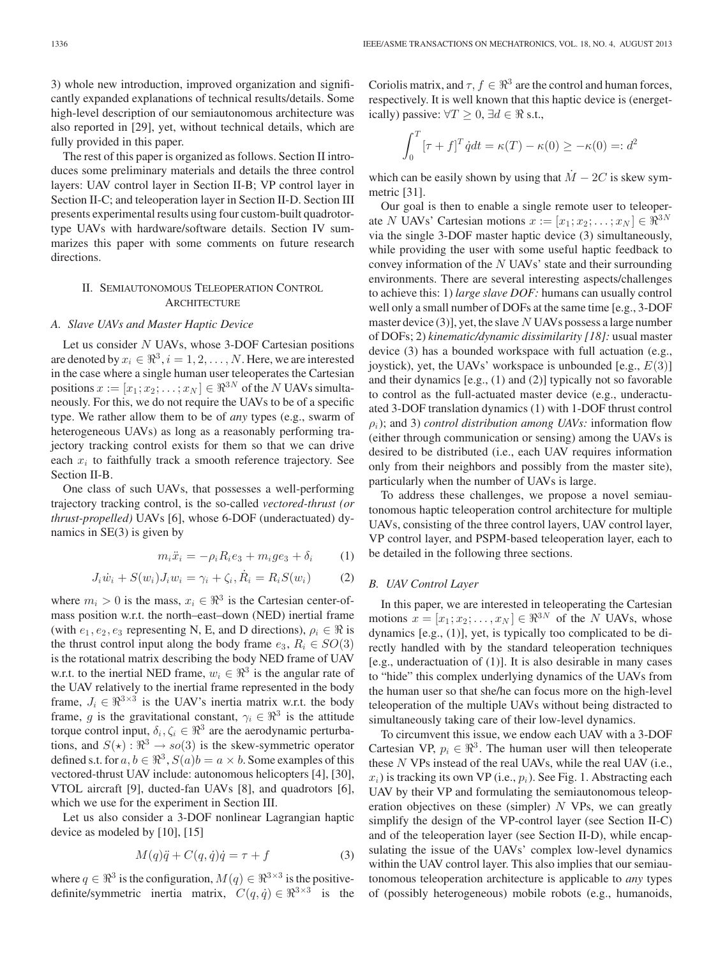3) whole new introduction, improved organization and significantly expanded explanations of technical results/details. Some high-level description of our semiautonomous architecture was also reported in [29], yet, without technical details, which are fully provided in this paper.

The rest of this paper is organized as follows. Section II introduces some preliminary materials and details the three control layers: UAV control layer in Section II-B; VP control layer in Section II-C; and teleoperation layer in Section II-D. Section III presents experimental results using four custom-built quadrotortype UAVs with hardware/software details. Section IV summarizes this paper with some comments on future research directions.

## II. SEMIAUTONOMOUS TELEOPERATION CONTROL **ARCHITECTURE**

## *A. Slave UAVs and Master Haptic Device*

Let us consider N UAVs, whose 3-DOF Cartesian positions are denoted by  $x_i \in \mathbb{R}^3$ ,  $i = 1, 2, \ldots, N$ . Here, we are interested in the case where a single human user teleoperates the Cartesian positions  $x := [x_1; x_2; \ldots; x_N] \in \mathbb{R}^{3N}$  of the N UAVs simultaneously. For this, we do not require the UAVs to be of a specific type. We rather allow them to be of *any* types (e.g., swarm of heterogeneous UAVs) as long as a reasonably performing trajectory tracking control exists for them so that we can drive each  $x_i$  to faithfully track a smooth reference trajectory. See Section II-B.

One class of such UAVs, that possesses a well-performing trajectory tracking control, is the so-called *vectored-thrust (or thrust-propelled)* UAVs [6], whose 6-DOF (underactuated) dynamics in SE(3) is given by

$$
m_i \ddot{x}_i = -\rho_i R_i e_3 + m_i g e_3 + \delta_i \qquad (1)
$$

$$
J_i \dot{w}_i + S(w_i) J_i w_i = \gamma_i + \zeta_i, \dot{R}_i = R_i S(w_i)
$$
 (2)

where  $m_i > 0$  is the mass,  $x_i \in \mathbb{R}^3$  is the Cartesian center-ofmass position w.r.t. the north–east–down (NED) inertial frame (with  $e_1, e_2, e_3$  representing N, E, and D directions),  $\rho_i \in \Re$  is the thrust control input along the body frame  $e_3$ ,  $R_i \in SO(3)$ is the rotational matrix describing the body NED frame of UAV w.r.t. to the inertial NED frame,  $w_i \in \mathbb{R}^3$  is the angular rate of the UAV relatively to the inertial frame represented in the body frame,  $J_i \in \mathbb{R}^{3 \times 3}$  is the UAV's inertia matrix w.r.t. the body frame, g is the gravitational constant,  $\gamma_i \in \mathbb{R}^3$  is the attitude torque control input,  $\delta_i, \zeta_i \in \mathbb{R}^3$  are the aerodynamic perturbations, and  $S(\star) : \mathbb{R}^3 \to so(3)$  is the skew-symmetric operator defined s.t. for  $a, b \in \mathbb{R}^3$ ,  $S(a)b = a \times b$ . Some examples of this vectored-thrust UAV include: autonomous helicopters [4], [30], VTOL aircraft [9], ducted-fan UAVs [8], and quadrotors [6], which we use for the experiment in Section III.

Let us also consider a 3-DOF nonlinear Lagrangian haptic device as modeled by [10], [15]

$$
M(q)\ddot{q} + C(q,\dot{q})\dot{q} = \tau + f \tag{3}
$$

where  $q \in \mathbb{R}^3$  is the configuration,  $M(q) \in \mathbb{R}^{3 \times 3}$  is the positivedefinite/symmetric inertia matrix,  $C(q, \dot{q}) \in \mathbb{R}^{3 \times 3}$  is the Coriolis matrix, and  $\tau, f \in \mathbb{R}^3$  are the control and human forces, respectively. It is well known that this haptic device is (energetically) passive:  $\forall T \geq 0, \exists d \in \Re$  s.t.,

$$
\int_0^T [\tau + f]^T \dot{q} dt = \kappa(T) - \kappa(0) \ge -\kappa(0) =: d^2
$$

which can be easily shown by using that  $\dot{M} - 2C$  is skew symmetric [31].

Our goal is then to enable a single remote user to teleoperate N UAVs' Cartesian motions  $x := [x_1; x_2; \dots; x_N] \in \Re^{3N}$ via the single 3-DOF master haptic device (3) simultaneously, while providing the user with some useful haptic feedback to convey information of the  $N$  UAVs' state and their surrounding environments. There are several interesting aspects/challenges to achieve this: 1) *large slave DOF:* humans can usually control well only a small number of DOFs at the same time [e.g., 3-DOF master device  $(3)$ ], yet, the slave N UAVs possess a large number of DOFs; 2) *kinematic/dynamic dissimilarity [18]:* usual master device (3) has a bounded workspace with full actuation (e.g., joystick), yet, the UAVs' workspace is unbounded [e.g.,  $E(3)$ ] and their dynamics [e.g., (1) and (2)] typically not so favorable to control as the full-actuated master device (e.g., underactuated 3-DOF translation dynamics (1) with 1-DOF thrust control ρi); and 3) *control distribution among UAVs:* information flow (either through communication or sensing) among the UAVs is desired to be distributed (i.e., each UAV requires information only from their neighbors and possibly from the master site), particularly when the number of UAVs is large.

To address these challenges, we propose a novel semiautonomous haptic teleoperation control architecture for multiple UAVs, consisting of the three control layers, UAV control layer, VP control layer, and PSPM-based teleoperation layer, each to be detailed in the following three sections.

## *B. UAV Control Layer*

In this paper, we are interested in teleoperating the Cartesian motions  $x = [x_1; x_2; \dots, x_N] \in \mathbb{R}^{3N}$  of the N UAVs, whose dynamics [e.g., (1)], yet, is typically too complicated to be directly handled with by the standard teleoperation techniques [e.g., underactuation of (1)]. It is also desirable in many cases to "hide" this complex underlying dynamics of the UAVs from the human user so that she/he can focus more on the high-level teleoperation of the multiple UAVs without being distracted to simultaneously taking care of their low-level dynamics.

To circumvent this issue, we endow each UAV with a 3-DOF Cartesian VP,  $p_i \in \mathbb{R}^3$ . The human user will then teleoperate these  $N$  VPs instead of the real UAVs, while the real UAV (i.e.,  $x_i$ ) is tracking its own VP (i.e.,  $p_i$ ). See Fig. 1. Abstracting each UAV by their VP and formulating the semiautonomous teleoperation objectives on these (simpler)  $N$  VPs, we can greatly simplify the design of the VP-control layer (see Section II-C) and of the teleoperation layer (see Section II-D), while encapsulating the issue of the UAVs' complex low-level dynamics within the UAV control layer. This also implies that our semiautonomous teleoperation architecture is applicable to *any* types of (possibly heterogeneous) mobile robots (e.g., humanoids,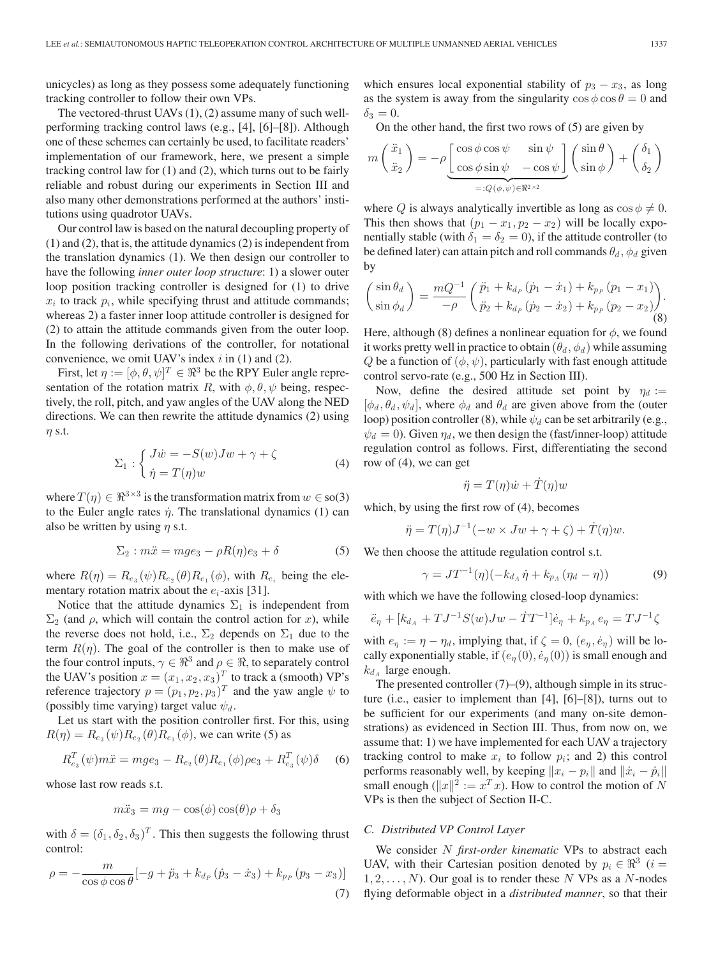unicycles) as long as they possess some adequately functioning tracking controller to follow their own VPs.

The vectored-thrust UAVs (1), (2) assume many of such wellperforming tracking control laws (e.g., [4], [6]–[8]). Although one of these schemes can certainly be used, to facilitate readers' implementation of our framework, here, we present a simple tracking control law for (1) and (2), which turns out to be fairly reliable and robust during our experiments in Section III and also many other demonstrations performed at the authors' institutions using quadrotor UAVs.

Our control law is based on the natural decoupling property of (1) and (2), that is, the attitude dynamics (2) is independent from the translation dynamics (1). We then design our controller to have the following *inner outer loop structure*: 1) a slower outer loop position tracking controller is designed for (1) to drive  $x_i$  to track  $p_i$ , while specifying thrust and attitude commands; whereas 2) a faster inner loop attitude controller is designed for (2) to attain the attitude commands given from the outer loop. In the following derivations of the controller, for notational convenience, we omit UAV's index  $i$  in (1) and (2).

First, let  $\eta := [\phi, \theta, \psi]^T \in \Re^3$  be the RPY Euler angle representation of the rotation matrix R, with  $\phi$ ,  $\theta$ ,  $\psi$  being, respectively, the roll, pitch, and yaw angles of the UAV along the NED directions. We can then rewrite the attitude dynamics (2) using  $\eta$  s.t.

$$
\Sigma_1 : \begin{cases} J\dot{w} = -S(w)Jw + \gamma + \zeta \\ \dot{\eta} = T(\eta)w \end{cases}
$$
 (4)

where  $T(\eta) \in \mathbb{R}^{3 \times 3}$  is the transformation matrix from  $w \in so(3)$ to the Euler angle rates  $\dot{\eta}$ . The translational dynamics (1) can also be written by using  $\eta$  s.t.

$$
\Sigma_2: m\ddot{x} = mge_3 - \rho R(\eta)e_3 + \delta \tag{5}
$$

where  $R(\eta) = R_{e_3}(\psi) R_{e_2}(\theta) R_{e_1}(\phi)$ , with  $R_{e_i}$  being the elementary rotation matrix about the  $e_i$ -axis [31].

Notice that the attitude dynamics  $\Sigma_1$  is independent from  $\Sigma_2$  (and  $\rho$ , which will contain the control action for x), while the reverse does not hold, i.e.,  $\Sigma_2$  depends on  $\Sigma_1$  due to the term  $R(\eta)$ . The goal of the controller is then to make use of the four control inputs,  $\gamma \in \mathbb{R}^3$  and  $\rho \in \mathbb{R}$ , to separately control the UAV's position  $x = (x_1, x_2, x_3)^T$  to track a (smooth) VP's reference trajectory  $p = (p_1, p_2, p_3)^T$  and the yaw angle  $\psi$  to (possibly time varying) target value  $\psi_d$ .

Let us start with the position controller first. For this, using  $R(\eta) = R_{e_3}(\psi) R_{e_2}(\theta) R_{e_1}(\phi)$ , we can write (5) as

$$
R_{e_3}^T(\psi)m\ddot{x} = mge_3 - R_{e_2}(\theta)R_{e_1}(\phi)\rho e_3 + R_{e_3}^T(\psi)\delta
$$
 (6)

whose last row reads s.t.

$$
m\ddot{x}_3 = mg - \cos(\phi)\cos(\theta)\rho + \delta_3
$$

with  $\delta = (\delta_1, \delta_2, \delta_3)^T$ . This then suggests the following thrust control:

$$
\rho = -\frac{m}{\cos\phi\cos\theta}[-g + \ddot{p}_3 + k_{d_P}(\dot{p}_3 - \dot{x}_3) + k_{p_P}(p_3 - x_3)]
$$
\n(7)

which ensures local exponential stability of  $p_3 - x_3$ , as long as the system is away from the singularity  $\cos \phi \cos \theta = 0$  and  $\delta_3 = 0.$ 

On the other hand, the first two rows of (5) are given by

$$
m\left(\frac{\ddot{x}_1}{\ddot{x}_2}\right) = -\rho \underbrace{\left[\frac{\cos\phi\cos\psi}{\cos\phi\sin\psi} - \cos\psi\right]}_{=:Q(\phi,\psi)\in\Re^{2\times 2}} \left(\frac{\sin\theta}{\sin\phi}\right) + \left(\frac{\delta_1}{\delta_2}\right)
$$

where Q is always analytically invertible as long as  $\cos \phi \neq 0$ . This then shows that  $(p_1 - x_1, p_2 - x_2)$  will be locally exponentially stable (with  $\delta_1 = \delta_2 = 0$ ), if the attitude controller (to be defined later) can attain pitch and roll commands  $\theta_d$ ,  $\phi_d$  given by

$$
\begin{pmatrix}\n\sin \theta_d \\
\sin \phi_d\n\end{pmatrix} = \frac{mQ^{-1}}{-\rho} \begin{pmatrix}\n\ddot{p}_1 + k_{d_P} (\dot{p}_1 - \dot{x}_1) + k_{p_P} (p_1 - x_1) \\
\ddot{p}_2 + k_{d_P} (\dot{p}_2 - \dot{x}_2) + k_{p_P} (p_2 - x_2)\n\end{pmatrix}.
$$
\n(8)

Here, although (8) defines a nonlinear equation for  $\phi$ , we found it works pretty well in practice to obtain  $(\theta_d, \phi_d)$  while assuming Q be a function of  $(\phi, \psi)$ , particularly with fast enough attitude control servo-rate (e.g., 500 Hz in Section III).

Now, define the desired attitude set point by  $\eta_d :=$  $[\phi_d, \theta_d, \psi_d]$ , where  $\phi_d$  and  $\theta_d$  are given above from the (outer loop) position controller (8), while  $\psi_d$  can be set arbitrarily (e.g.,  $\psi_d = 0$ ). Given  $\eta_d$ , we then design the (fast/inner-loop) attitude regulation control as follows. First, differentiating the second row of (4), we can get

$$
\ddot{\eta} = T(\eta)\dot{w} + \dot{T}(\eta)w
$$

which, by using the first row of (4), becomes

$$
\ddot{\eta} = T(\eta)J^{-1}(-w \times Jw + \gamma + \zeta) + \dot{T}(\eta)w.
$$

We then choose the attitude regulation control s.t.

$$
\gamma = JT^{-1}(\eta)(-k_{d_A} \dot{\eta} + k_{p_A} (\eta_d - \eta))
$$
\n(9)

with which we have the following closed-loop dynamics:

$$
\ddot{e}_{\eta} + [k_{d_A} + TJ^{-1}S(w)Jw - \dot{T}T^{-1}]\dot{e}_{\eta} + k_{p_A}e_{\eta} = TJ^{-1}\zeta
$$

with  $e_{\eta} := \eta - \eta_d$ , implying that, if  $\zeta = 0$ ,  $(e_{\eta}, \dot{e}_{\eta})$  will be locally exponentially stable, if  $(e_n(0), \dot{e}_n(0))$  is small enough and  $k_{d_A}$  large enough.

The presented controller  $(7)$ – $(9)$ , although simple in its structure (i.e., easier to implement than [4], [6]–[8]), turns out to be sufficient for our experiments (and many on-site demonstrations) as evidenced in Section III. Thus, from now on, we assume that: 1) we have implemented for each UAV a trajectory tracking control to make  $x_i$  to follow  $p_i$ ; and 2) this control performs reasonably well, by keeping  $||x_i - p_i||$  and  $||\dot{x}_i - \dot{p}_i||$ small enough ( $||x||^2 := x^T x$ ). How to control the motion of N VPs is then the subject of Section II-C.

### *C. Distributed VP Control Layer*

We consider N *first-order kinematic* VPs to abstract each UAV, with their Cartesian position denoted by  $p_i \in \mathbb{R}^3$  (i =  $1, 2, \ldots, N$ ). Our goal is to render these N VPs as a N-nodes flying deformable object in a *distributed manner*, so that their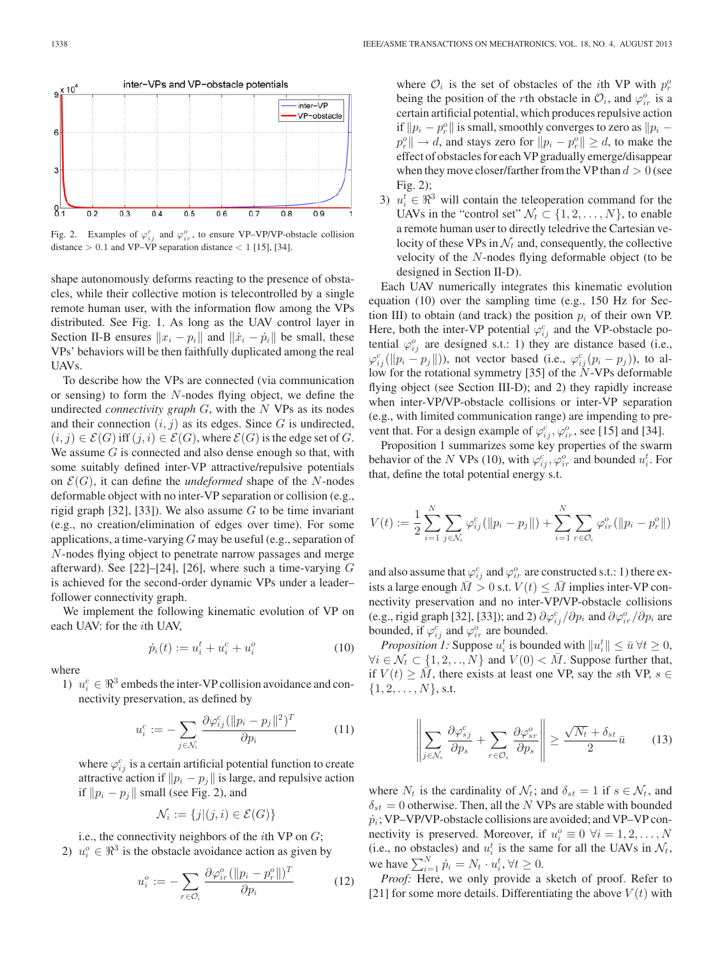

Fig. 2. Examples of  $\varphi_{ij}^c$  and  $\varphi_{ir}^o$ , to ensure VP–VP/VP-obstacle collision distance  $> 0.1$  and VP–VP separation distance  $< 1$  [15], [34].

shape autonomously deforms reacting to the presence of obstacles, while their collective motion is telecontrolled by a single remote human user, with the information flow among the VPs distributed. See Fig. 1. As long as the UAV control layer in Section II-B ensures  $||x_i - p_i||$  and  $||\dot{x}_i - \dot{p}_i||$  be small, these VPs' behaviors will be then faithfully duplicated among the real UAVs.

To describe how the VPs are connected (via communication or sensing) to form the N-nodes flying object, we define the undirected *connectivity graph* G, with the N VPs as its nodes and their connection  $(i, j)$  as its edges. Since G is undirected,  $(i, j) \in \mathcal{E}(G)$  iff  $(j, i) \in \mathcal{E}(G)$ , where  $\mathcal{E}(G)$  is the edge set of G. We assume  $G$  is connected and also dense enough so that, with some suitably defined inter-VP attractive/repulsive potentials on  $\mathcal{E}(G)$ , it can define the *undeformed* shape of the N-nodes deformable object with no inter-VP separation or collision (e.g., rigid graph [32], [33]). We also assume  $G$  to be time invariant (e.g., no creation/elimination of edges over time). For some applications, a time-varying  $G$  may be useful (e.g., separation of N-nodes flying object to penetrate narrow passages and merge afterward). See [22]–[24], [26], where such a time-varying  $G$ is achieved for the second-order dynamic VPs under a leader– follower connectivity graph.

We implement the following kinematic evolution of VP on each UAV: for the ith UAV,

$$
\dot{p}_i(t) := u_i^t + u_i^c + u_i^o \tag{10}
$$

where

1)  $u_i^c \in \Re^3$  embeds the inter-VP collision avoidance and connectivity preservation, as defined by

$$
u_i^c := -\sum_{j \in \mathcal{N}_i} \frac{\partial \varphi_{ij}^c (\|p_i - p_j\|^2)^T}{\partial p_i} \tag{11}
$$

where  $\varphi_{ij}^c$  is a certain artificial potential function to create attractive action if  $||p_i - p_j||$  is large, and repulsive action if  $\|p_i - p_j\|$  small (see Fig. 2), and

$$
\mathcal{N}_i := \{j | (j, i) \in \mathcal{E}(G)\}
$$

i.e., the connectivity neighbors of the *i*th VP on  $G$ ; 2)  $u_i^o \in \mathbb{R}^3$  is the obstacle avoidance action as given by

$$
u_i^o := -\sum_{r \in \mathcal{O}_i} \frac{\partial \varphi_{ir}^o(\|p_i - p_r^o\|)^T}{\partial p_i} \tag{12}
$$

where  $\mathcal{O}_i$  is the set of obstacles of the *i*th VP with  $p_r^o$ being the position of the *r*th obstacle in  $\mathcal{O}_i$ , and  $\varphi_i^o$  is a certain artificial potential, which produces repulsive action if  $\|p_i - p_r^o\|$  is small, smoothly converges to zero as  $\|p_i - p_r^o\|$  $p_r^o \parallel \rightarrow d$ , and stays zero for  $\Vert p_i - p_r^o \Vert \ge d$ , to make the effect of obstacles for each VP gradually emerge/disappear when they move closer/farther from the VP than  $d > 0$  (see Fig. 2);

3)  $u_i^t \in \mathbb{R}^3$  will contain the teleoperation command for the UAVs in the "control set"  $\mathcal{N}_t \subset \{1, 2, ..., N\}$ , to enable a remote human user to directly teledrive the Cartesian velocity of these VPs in  $\mathcal{N}_t$  and, consequently, the collective velocity of the N-nodes flying deformable object (to be designed in Section II-D).

Each UAV numerically integrates this kinematic evolution equation (10) over the sampling time (e.g., 150 Hz for Section III) to obtain (and track) the position  $p_i$  of their own VP. Here, both the inter-VP potential  $\varphi_{ij}^c$  and the VP-obstacle potential  $\varphi_{ij}^o$  are designed s.t.: 1) they are distance based (i.e.,  $\varphi_{ij}^c(\|p_i - p_j\|)$ , not vector based (i.e.,  $\varphi_{ij}^c(p_i - p_j)$ ), to allow for the rotational symmetry  $[35]$  of the N-VPs deformable flying object (see Section III-D); and 2) they rapidly increase when inter-VP/VP-obstacle collisions or inter-VP separation (e.g., with limited communication range) are impending to prevent that. For a design example of  $\varphi_{ij}^c$ ,  $\varphi_{ir}^o$ , see [15] and [34].

Proposition 1 summarizes some key properties of the swarm behavior of the N VPs (10), with  $\varphi_{ij}^c$ ,  $\varphi_{ir}^o$  and bounded  $u_i^t$ . For that, define the total potential energy s.t.

$$
V(t) := \frac{1}{2} \sum_{i=1}^{N} \sum_{j \in \mathcal{N}_i} \varphi_{ij}^c(||p_i - p_j||) + \sum_{i=1}^{N} \sum_{r \in \mathcal{O}_i} \varphi_{ir}^o(||p_i - p_r^o||)
$$

and also assume that  $\varphi_{ij}^c$  and  $\varphi_{ir}^o$  are constructed s.t.: 1) there exists a large enough  $M > 0$  s.t.  $V(t) \leq M$  implies inter-VP connectivity preservation and no inter-VP/VP-obstacle collisions (e.g., rigid graph [32], [33]); and 2)  $\partial \varphi_{ij}^c / \partial p_i$  and  $\partial \varphi_{ir}^o / \partial p_i$  are bounded, if  $\varphi_{ij}^c$  and  $\varphi_{ir}^o$  are bounded.

*Proposition 1:* Suppose  $u_i^t$  is bounded with  $||u_i^t|| \le \bar{u} \ \forall t \ge 0$ ,  $\forall i \in \mathcal{N}_t \subset \{1, 2, \ldots, N\}$  and  $V(0) < M$ . Suppose further that, if  $V(t) \geq \overline{M}$ , there exists at least one VP, say the sth VP,  $s \in$  $\{1, 2, \ldots, N\}$ , s.t.

$$
\left\| \sum_{j \in \mathcal{N}_s} \frac{\partial \varphi_{sj}^c}{\partial p_s} + \sum_{r \in \mathcal{O}_s} \frac{\partial \varphi_{sr}^o}{\partial p_s} \right\| \ge \frac{\sqrt{N_t} + \delta_{st}}{2} \bar{u} \qquad (13)
$$

where  $N_t$  is the cardinality of  $\mathcal{N}_t$ ; and  $\delta_{st} = 1$  if  $s \in \mathcal{N}_t$ , and  $\delta_{st} = 0$  otherwise. Then, all the N VPs are stable with bounded  $\dot{p}_i$ ; VP–VP/VP-obstacle collisions are avoided; and VP–VP connectivity is preserved. Moreover, if  $u_i^o \equiv 0 \ \forall i = 1, 2, \dots, N$ (i.e., no obstacles) and  $u_i^t$  is the same for all the UAVs in  $\mathcal{N}_t$ , we have  $\sum_{i=1}^{N} \dot{p}_i = N_t \cdot u_i^t, \forall t \ge 0.$ 

*Proof:* Here, we only provide a sketch of proof. Refer to [21] for some more details. Differentiating the above  $V(t)$  with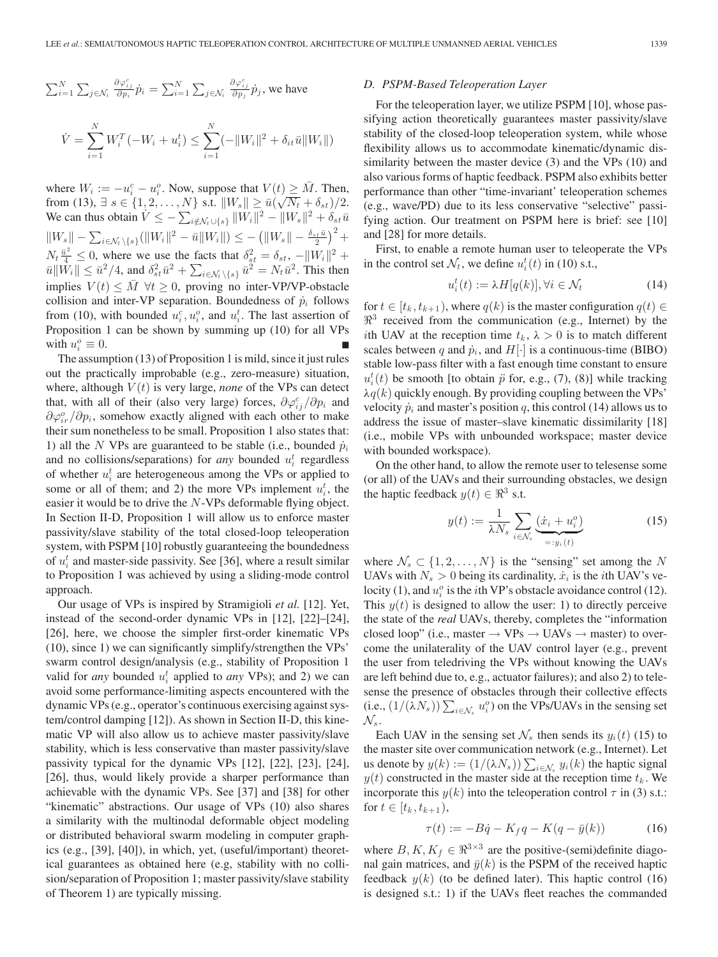$$
\sum_{i=1}^{N}\sum_{j\in\mathcal{N}_i}\frac{\partial\varphi_{ij}^c}{\partial p_i}\dot{p}_i=\sum_{i=1}^{N}\sum_{j\in\mathcal{N}_i}\frac{\partial\varphi_{ij}^c}{\partial p_j}\dot{p}_j,
$$
 we have

$$
\dot{V} = \sum_{i=1}^{N} W_i^T(-W_i + u_i^t) \le \sum_{i=1}^{N} (-\|W_i\|^2 + \delta_{it}\bar{u}\|W_i\|)
$$

where  $W_i := -u_i^c - u_i^o$ . Now, suppose that  $V(t) \geq \overline{M}$ . Then, where  $W_i := -u_i - u_i$ . Now, suppose that  $V(t) \geq M$ . Then,<br>from (13),  $\exists s \in \{1, 2, ..., N\}$  s.t.  $||W_s|| \geq \overline{u}(\sqrt{N_t} + \delta_{st})/2$ . We can thus obtain  $\hat{V} \leq -\sum_{i \notin \mathcal{N}_t \cup \{s\}} ||\hat{W}_i||^2 - ||W_s||^2 + \delta_{st} \bar{u}$  $||W_s|| - \sum_{i \in \mathcal{N}_t \backslash \{s\}} (||W_i||^2 - \bar{u}||W_i||) \le - \left(||W_s|| - \frac{\delta_{st} \bar{u}}{2}\right)^2 +$  $N_t \frac{\bar{u}^2}{4} \leq 0$ , where we use the facts that  $\delta_{st}^2 = \delta_{st}$ ,  $-\|W_i\|^2 +$  $\|\bar{w}_i\| \leq \bar{u}^2/4$ , and  $\delta_{st}^2 \bar{u}^2 + \sum_{i \in \mathcal{N}_t \setminus \{s\}} \bar{u}^2 = N_t \bar{u}^2$ . This then implies  $V(t) \leq \overline{M}$   $\forall t \geq 0$ , proving no inter-VP/VP-obstacle collision and inter-VP separation. Boundedness of  $\dot{p}_i$  follows from (10), with bounded  $u_i^c, u_i^o$ , and  $u_i^t$ . The last assertion of Proposition 1 can be shown by summing up (10) for all VPs with  $u_i^o \equiv 0$ .  $i \equiv 0.$ 

The assumption (13) of Proposition 1 is mild, since it just rules out the practically improbable (e.g., zero-measure) situation, where, although  $V(t)$  is very large, *none* of the VPs can detect that, with all of their (also very large) forces,  $\partial \varphi_{ij}^c / \partial p_i$  and  $\partial \varphi_{ir}^o / \partial p_i$ , somehow exactly aligned with each other to make their sum nonetheless to be small. Proposition 1 also states that: 1) all the N VPs are guaranteed to be stable (i.e., bounded  $\dot{p}_i$ and no collisions/separations) for *any* bounded  $u_i^t$  regardless of whether  $u_i^t$  are heterogeneous among the VPs or applied to some or all of them; and 2) the more VPs implement  $u_i^t$ , the easier it would be to drive the N-VPs deformable flying object. In Section II-D, Proposition 1 will allow us to enforce master passivity/slave stability of the total closed-loop teleoperation system, with PSPM [10] robustly guaranteeing the boundedness of  $u_i^t$  and master-side passivity. See [36], where a result similar to Proposition 1 was achieved by using a sliding-mode control approach.

Our usage of VPs is inspired by Stramigioli *et al.* [12]. Yet, instead of the second-order dynamic VPs in [12], [22]–[24], [26], here, we choose the simpler first-order kinematic VPs (10), since 1) we can significantly simplify/strengthen the VPs' swarm control design/analysis (e.g., stability of Proposition 1 valid for *any* bounded  $u_i^t$  applied to *any* VPs); and 2) we can avoid some performance-limiting aspects encountered with the dynamic VPs (e.g., operator's continuous exercising against system/control damping [12]). As shown in Section II-D, this kinematic VP will also allow us to achieve master passivity/slave stability, which is less conservative than master passivity/slave passivity typical for the dynamic VPs [12], [22], [23], [24], [26], thus, would likely provide a sharper performance than achievable with the dynamic VPs. See [37] and [38] for other "kinematic" abstractions. Our usage of VPs (10) also shares a similarity with the multinodal deformable object modeling or distributed behavioral swarm modeling in computer graphics (e.g., [39], [40]), in which, yet, (useful/important) theoretical guarantees as obtained here (e.g, stability with no collision/separation of Proposition 1; master passivity/slave stability of Theorem 1) are typically missing.

#### *D. PSPM-Based Teleoperation Layer*

For the teleoperation layer, we utilize PSPM [10], whose passifying action theoretically guarantees master passivity/slave stability of the closed-loop teleoperation system, while whose flexibility allows us to accommodate kinematic/dynamic dissimilarity between the master device (3) and the VPs (10) and also various forms of haptic feedback. PSPM also exhibits better performance than other "time-invariant' teleoperation schemes (e.g., wave/PD) due to its less conservative "selective" passifying action. Our treatment on PSPM here is brief: see [10] and [28] for more details.

First, to enable a remote human user to teleoperate the VPs in the control set  $\mathcal{N}_t$ , we define  $u_i^t(t)$  in (10) s.t.,

$$
u_i^t(t) := \lambda H[q(k)], \forall i \in \mathcal{N}_t
$$
\n(14)

for  $t \in [t_k, t_{k+1})$ , where  $q(k)$  is the master configuration  $q(t) \in$  $\mathbb{R}^3$  received from the communication (e.g., Internet) by the ith UAV at the reception time  $t_k$ ,  $\lambda > 0$  is to match different scales between q and  $\dot{p}_i$ , and H[·] is a continuous-time (BIBO) stable low-pass filter with a fast enough time constant to ensure  $u_i^t(t)$  be smooth [to obtain  $\ddot{p}$  for, e.g., (7), (8)] while tracking  $\lambda q(k)$  quickly enough. By providing coupling between the VPs' velocity  $\dot{p}_i$  and master's position q, this control (14) allows us to address the issue of master–slave kinematic dissimilarity [18] (i.e., mobile VPs with unbounded workspace; master device with bounded workspace).

On the other hand, to allow the remote user to telesense some (or all) of the UAVs and their surrounding obstacles, we design the haptic feedback  $y(t) \in \mathbb{R}^3$  s.t.

$$
y(t) := \frac{1}{\lambda N_s} \sum_{i \in \mathcal{N}_s} \underbrace{(\dot{x}_i + u_i^o)}_{=: y_i(t)} \tag{15}
$$

where  $\mathcal{N}_s \subset \{1, 2, ..., N\}$  is the "sensing" set among the N UAVs with  $N_s > 0$  being its cardinality,  $\dot{x}_i$  is the *i*th UAV's velocity (1), and  $u_i^o$  is the *i*th VP's obstacle avoidance control (12). This  $y(t)$  is designed to allow the user: 1) to directly perceive the state of the *real* UAVs, thereby, completes the "information closed loop" (i.e., master  $\rightarrow$  VPs  $\rightarrow$  UAVs  $\rightarrow$  master) to overcome the unilaterality of the UAV control layer (e.g., prevent the user from teledriving the VPs without knowing the UAVs are left behind due to, e.g., actuator failures); and also 2) to telesense the presence of obstacles through their collective effects (i.e.,  $(1/(\lambda N_s))\sum_{i\in\mathcal{N}_s}u_i^o$ ) on the VPs/UAVs in the sensing set  $\mathcal{N}_s$ .

Each UAV in the sensing set  $\mathcal{N}_s$  then sends its  $y_i(t)$  (15) to the master site over communication network (e.g., Internet). Let us denote by  $y(k) := (1/(\lambda N_s)) \sum_{i \in \mathcal{N}_s} y_i(k)$  the haptic signal  $y(t)$  constructed in the master side at the reception time  $t_k$ . We incorporate this  $y(k)$  into the teleoperation control  $\tau$  in (3) s.t.: for  $t \in [t_k, t_{k+1}),$ 

$$
\tau(t) := -B\dot{q} - K_f q - K(q - \bar{y}(k))\tag{16}
$$

where  $B, K, K_f \in \mathbb{R}^{3 \times 3}$  are the positive-(semi)definite diagonal gain matrices, and  $\bar{y}(k)$  is the PSPM of the received haptic feedback  $y(k)$  (to be defined later). This haptic control (16) is designed s.t.: 1) if the UAVs fleet reaches the commanded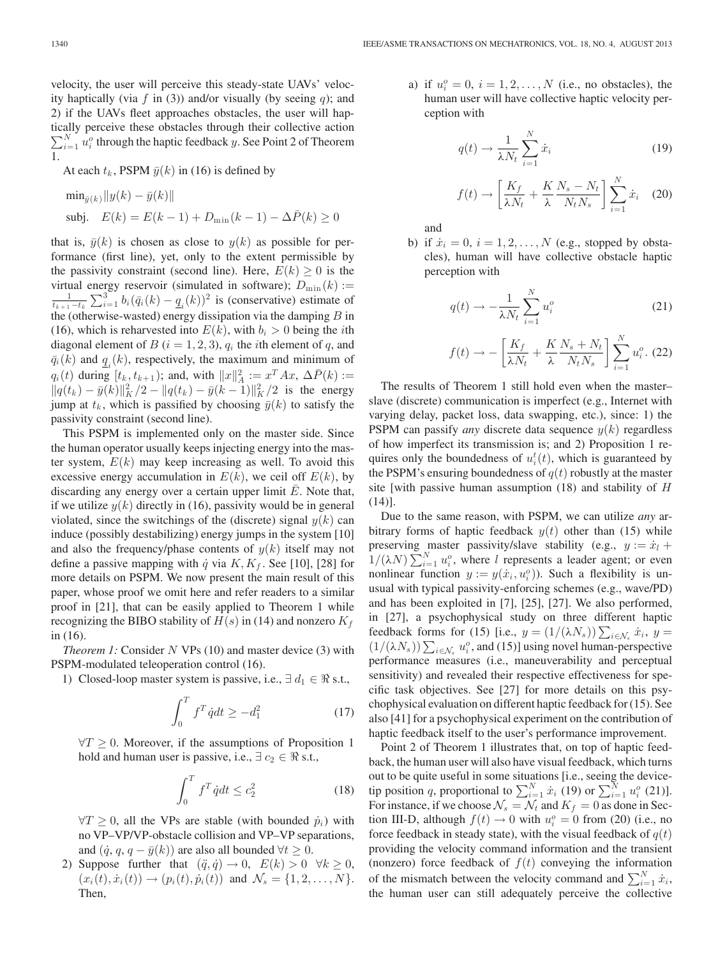velocity, the user will perceive this steady-state UAVs' velocity haptically (via f in (3)) and/or visually (by seeing q); and 2) if the UAVs fleet approaches obstacles, the user will haptically perceive these obstacles through their collective action  $\sum_{i=1}^{N} u_i^o$  through the haptic feedback y. See Point 2 of Theorem 1.

At each  $t_k$ , PSPM  $\bar{y}(k)$  in (16) is defined by

$$
\min_{\bar{y}(k)} \|y(k) - \bar{y}(k)\|
$$
  
subj.  $E(k) = E(k-1) + D_{\min}(k-1) - \Delta \bar{P}(k) \ge 0$ 

that is,  $\bar{y}(k)$  is chosen as close to  $y(k)$  as possible for performance (first line), yet, only to the extent permissible by the passivity constraint (second line). Here,  $E(k) \geq 0$  is the virtual energy reservoir (simulated in software);  $D_{\min}(k)$  :=  $\frac{1}{t_{k+1}-t_k}\sum_{i=1}^3 b_i(\bar{q}_i(k)-\underline{q}_i(k))^2$  is (conservative) estimate of the (otherwise-wasted) energy dissipation via the damping  $B$  in (16), which is reharvested into  $E(k)$ , with  $b_i > 0$  being the *i*th diagonal element of B ( $i = 1, 2, 3$ ),  $q_i$  the *i*th element of q, and  $\bar{q}_i(k)$  and  $\underline{q}_i(k)$ , respectively, the maximum and minimum of  $q_i(t)$  during  $[t_k, t_{k+1})$ ; and, with  $||x||_A^2 := x^T A x$ ,  $\Delta \overline{P}(k) :=$  $||q(t_k) - \bar{y}(k)||_K^2/2 - ||q(t_k) - \bar{y}(k-1)||_K^2/2$  is the energy jump at  $t_k$ , which is passified by choosing  $\bar{y}(k)$  to satisfy the passivity constraint (second line).

This PSPM is implemented only on the master side. Since the human operator usually keeps injecting energy into the master system,  $E(k)$  may keep increasing as well. To avoid this excessive energy accumulation in  $E(k)$ , we ceil off  $E(k)$ , by discarding any energy over a certain upper limit  $\overline{E}$ . Note that, if we utilize  $y(k)$  directly in (16), passivity would be in general violated, since the switchings of the (discrete) signal  $y(k)$  can induce (possibly destabilizing) energy jumps in the system [10] and also the frequency/phase contents of  $y(k)$  itself may not define a passive mapping with  $\dot{q}$  via  $K, K_f$ . See [10], [28] for more details on PSPM. We now present the main result of this paper, whose proof we omit here and refer readers to a similar proof in [21], that can be easily applied to Theorem 1 while recognizing the BIBO stability of  $H(s)$  in (14) and nonzero  $K_f$ in (16).

*Theorem 1:* Consider N VPs (10) and master device (3) with PSPM-modulated teleoperation control (16).

1) Closed-loop master system is passive, i.e.,  $\exists d_1 \in \Re$  s.t.,

$$
\int_0^T f^T \dot{q} dt \ge -d_1^2 \tag{17}
$$

 $\forall T \geq 0$ . Moreover, if the assumptions of Proposition 1 hold and human user is passive, i.e.,  $\exists c_2 \in \Re$  s.t.,

$$
\int_0^T f^T \dot{q} dt \le c_2^2 \tag{18}
$$

 $\forall T \geq 0$ , all the VPs are stable (with bounded  $\dot{p}_i$ ) with no VP–VP/VP-obstacle collision and VP–VP separations, and  $(\dot{q}, q, q - \bar{y}(k))$  are also all bounded  $\forall t \geq 0$ .

2) Suppose further that  $(\ddot{q}, \dot{q}) \rightarrow 0$ ,  $E(k) > 0 \ \forall k \geq 0$ ,  $(x_i(t), \dot{x}_i(t)) \to (p_i(t), \dot{p}_i(t))$  and  $\mathcal{N}_s = \{1, 2, ..., N\}.$ Then,

a) if  $u_i^o = 0$ ,  $i = 1, 2, ..., N$  (i.e., no obstacles), the human user will have collective haptic velocity perception with

$$
q(t) \to \frac{1}{\lambda N_t} \sum_{i=1}^{N} \dot{x}_i
$$
\n(19)

$$
f(t) \rightarrow \left[\frac{K_f}{\lambda N_t} + \frac{K}{\lambda} \frac{N_s - N_t}{N_t N_s}\right] \sum_{i=1}^{N} \dot{x}_i \quad (20)
$$

and

b) if  $\dot{x}_i = 0$ ,  $i = 1, 2, \ldots, N$  (e.g., stopped by obstacles), human will have collective obstacle haptic perception with

$$
q(t) \to -\frac{1}{\lambda N_t} \sum_{i=1}^{N} u_i^o \tag{21}
$$

$$
f(t) \rightarrow -\left[\frac{K_f}{\lambda N_t} + \frac{K}{\lambda} \frac{N_s + N_t}{N_t N_s}\right] \sum_{i=1}^{N} u_i^o.
$$
 (22)

The results of Theorem 1 still hold even when the master– slave (discrete) communication is imperfect (e.g., Internet with varying delay, packet loss, data swapping, etc.), since: 1) the **PSPM** can passify *any* discrete data sequence  $y(k)$  regardless of how imperfect its transmission is; and 2) Proposition 1 requires only the boundedness of  $u_i^t(t)$ , which is guaranteed by the PSPM's ensuring boundedness of  $q(t)$  robustly at the master site [with passive human assumption (18) and stability of H (14)].

Due to the same reason, with PSPM, we can utilize *any* arbitrary forms of haptic feedback  $y(t)$  other than (15) while preserving master passivity/slave stability (e.g.,  $y := \dot{x}_l +$  $1/(\lambda N) \sum_{i=1}^{N} u_i^o$ , where l represents a leader agent; or even nonlinear function  $y := y(\dot{x}_i, u_i^o)$ ). Such a flexibility is unusual with typical passivity-enforcing schemes (e.g., wave/PD) and has been exploited in [7], [25], [27]. We also performed, in [27], a psychophysical study on three different haptic feedback forms for (15) [i.e.,  $y = (1/(\lambda N_s)) \sum_{i \in \mathcal{N}_s} \dot{x}_i, y =$  $(1/(\lambda N_s))\sum_{i\in\mathcal{N}_s}u_i^o$ , and (15)] using novel human-perspective performance measures (i.e., maneuverability and perceptual sensitivity) and revealed their respective effectiveness for specific task objectives. See [27] for more details on this psychophysical evaluation on different haptic feedback for (15). See also [41] for a psychophysical experiment on the contribution of haptic feedback itself to the user's performance improvement.

Point 2 of Theorem 1 illustrates that, on top of haptic feedback, the human user will also have visual feedback, which turns out to be quite useful in some situations [i.e., seeing the devicetip position q, proportional to  $\sum_{i=1}^{N} \dot{x}_i$  (19) or  $\sum_{i=1}^{N} u_i^o$  (21)]. For instance, if we choose  $\mathcal{N}_s = \mathcal{N}_t$  and  $K_f = 0$  as done in Section III-D, although  $f(t) \rightarrow 0$  with  $u_i^o = 0$  from (20) (i.e., no force feedback in steady state), with the visual feedback of  $q(t)$ providing the velocity command information and the transient (nonzero) force feedback of  $f(t)$  conveying the information of the mismatch between the velocity command and  $\sum_{i=1}^{N} \dot{x}_i$ , the human user can still adequately perceive the collective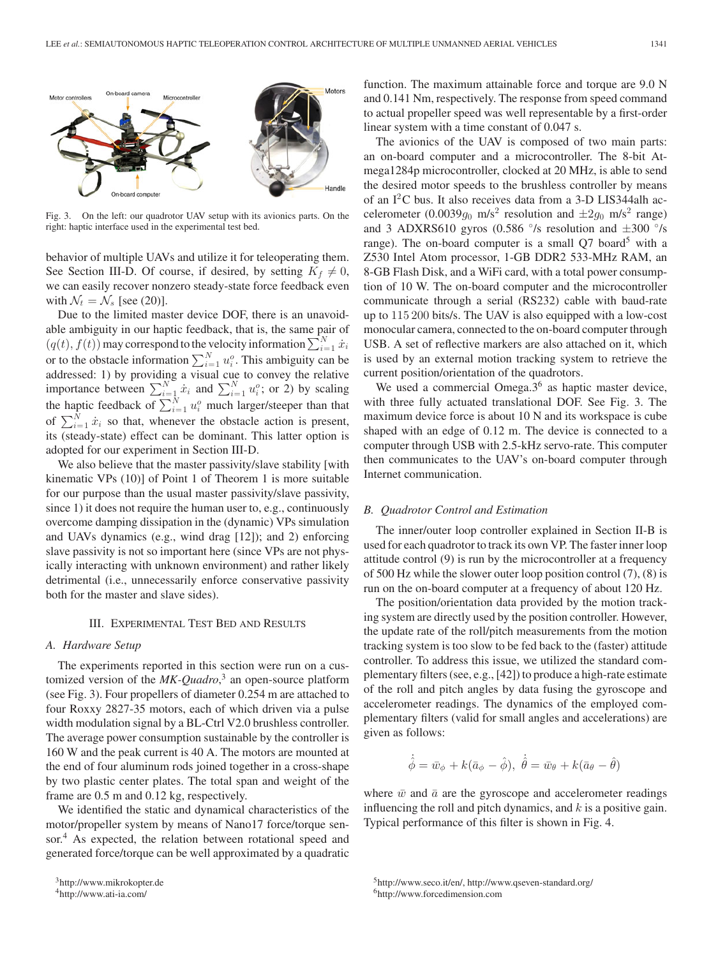

Fig. 3. On the left: our quadrotor UAV setup with its avionics parts. On the right: haptic interface used in the experimental test bed.

behavior of multiple UAVs and utilize it for teleoperating them. See Section III-D. Of course, if desired, by setting  $K_f \neq 0$ , we can easily recover nonzero steady-state force feedback even with  $\mathcal{N}_t = \mathcal{N}_s$  [see (20)].

Due to the limited master device DOF, there is an unavoidable ambiguity in our haptic feedback, that is, the same pair of  $(q(t), f(t))$  may correspond to the velocity information  $\sum_{i=1}^{N} x_i$ or to the obstacle information  $\sum_{i=1}^{N} u_i^o$ . This ambiguity can be addressed: 1) by providing a visual cue to convey the relative importance between  $\sum_{i=1}^{N} x_i$  and  $\sum_{i=1}^{N} u_i^o$ ; or 2) by scaling the haptic feedback of  $\sum_{i=1}^{N} u_i^o$  much larger/steeper than that of  $\sum_{i=1}^{N} \dot{x}_i$  so that, whenever the obstacle action is present, its (steady-state) effect can be dominant. This latter option is adopted for our experiment in Section III-D.

We also believe that the master passivity/slave stability [with kinematic VPs (10)] of Point 1 of Theorem 1 is more suitable for our purpose than the usual master passivity/slave passivity, since 1) it does not require the human user to, e.g., continuously overcome damping dissipation in the (dynamic) VPs simulation and UAVs dynamics (e.g., wind drag [12]); and 2) enforcing slave passivity is not so important here (since VPs are not physically interacting with unknown environment) and rather likely detrimental (i.e., unnecessarily enforce conservative passivity both for the master and slave sides).

#### III. EXPERIMENTAL TEST BED AND RESULTS

## *A. Hardware Setup*

The experiments reported in this section were run on a customized version of the *MK-Quadro*, <sup>3</sup> an open-source platform (see Fig. 3). Four propellers of diameter 0.254 m are attached to four Roxxy 2827-35 motors, each of which driven via a pulse width modulation signal by a BL-Ctrl V2.0 brushless controller. The average power consumption sustainable by the controller is 160 W and the peak current is 40 A. The motors are mounted at the end of four aluminum rods joined together in a cross-shape by two plastic center plates. The total span and weight of the frame are 0.5 m and 0.12 kg, respectively.

We identified the static and dynamical characteristics of the motor/propeller system by means of Nano17 force/torque sensor.<sup>4</sup> As expected, the relation between rotational speed and generated force/torque can be well approximated by a quadratic function. The maximum attainable force and torque are 9.0 N and 0.141 Nm, respectively. The response from speed command to actual propeller speed was well representable by a first-order linear system with a time constant of 0.047 s.

The avionics of the UAV is composed of two main parts: an on-board computer and a microcontroller. The 8-bit Atmega1284p microcontroller, clocked at 20 MHz, is able to send the desired motor speeds to the brushless controller by means of an  $I<sup>2</sup>C$  bus. It also receives data from a 3-D LIS344alh accelerometer (0.0039 $g_0$  m/s<sup>2</sup> resolution and  $\pm 2g_0$  m/s<sup>2</sup> range) and 3 ADXRS610 gyros (0.586  $\degree$ /s resolution and  $\pm 300 \degree$ /s range). The on-board computer is a small  $Q7$  board<sup>5</sup> with a Z530 Intel Atom processor, 1-GB DDR2 533-MHz RAM, an 8-GB Flash Disk, and a WiFi card, with a total power consumption of 10 W. The on-board computer and the microcontroller communicate through a serial (RS232) cable with baud-rate up to 115200 bits/s. The UAV is also equipped with a low-cost monocular camera, connected to the on-board computer through USB. A set of reflective markers are also attached on it, which is used by an external motion tracking system to retrieve the current position/orientation of the quadrotors.

We used a commercial Omega. $3<sup>6</sup>$  as haptic master device, with three fully actuated translational DOF. See Fig. 3. The maximum device force is about 10 N and its workspace is cube shaped with an edge of 0.12 m. The device is connected to a computer through USB with 2.5-kHz servo-rate. This computer then communicates to the UAV's on-board computer through Internet communication.

## *B. Quadrotor Control and Estimation*

The inner/outer loop controller explained in Section II-B is used for each quadrotor to track its own VP. The faster inner loop attitude control (9) is run by the microcontroller at a frequency of 500 Hz while the slower outer loop position control (7), (8) is run on the on-board computer at a frequency of about 120 Hz.

The position/orientation data provided by the motion tracking system are directly used by the position controller. However, the update rate of the roll/pitch measurements from the motion tracking system is too slow to be fed back to the (faster) attitude controller. To address this issue, we utilized the standard complementary filters (see, e.g., [42]) to produce a high-rate estimate of the roll and pitch angles by data fusing the gyroscope and accelerometer readings. The dynamics of the employed complementary filters (valid for small angles and accelerations) are given as follows:

$$
\dot{\hat{\phi}} = \bar{w}_{\phi} + k(\bar{a}_{\phi} - \hat{\phi}), \ \dot{\hat{\theta}} = \bar{w}_{\theta} + k(\bar{a}_{\theta} - \hat{\theta})
$$

where  $\bar{w}$  and  $\bar{a}$  are the gyroscope and accelerometer readings influencing the roll and pitch dynamics, and  $k$  is a positive gain. Typical performance of this filter is shown in Fig. 4.

<sup>3</sup>http://www.mikrokopter.de

<sup>4</sup>http://www.ati-ia.com/

<sup>5</sup>http://www.seco.it/en/, http://www.qseven-standard.org/ 6http://www.forcedimension.com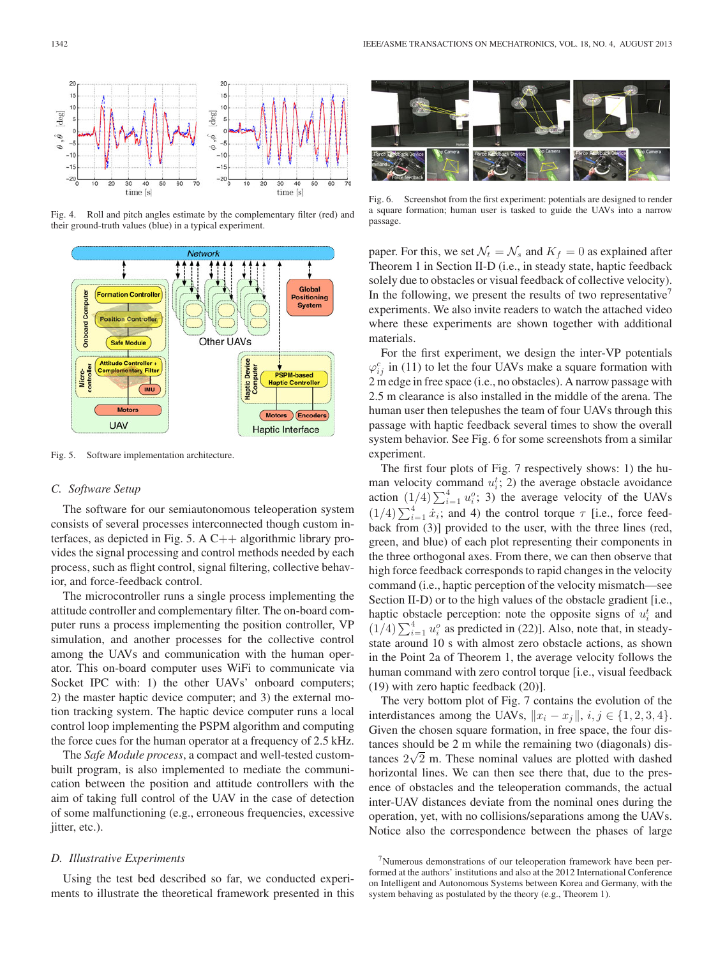

Fig. 4. Roll and pitch angles estimate by the complementary filter (red) and their ground-truth values (blue) in a typical experiment.



Fig. 5. Software implementation architecture.

#### *C. Software Setup*

The software for our semiautonomous teleoperation system consists of several processes interconnected though custom interfaces, as depicted in Fig. 5. A  $C++$  algorithmic library provides the signal processing and control methods needed by each process, such as flight control, signal filtering, collective behavior, and force-feedback control.

The microcontroller runs a single process implementing the attitude controller and complementary filter. The on-board computer runs a process implementing the position controller, VP simulation, and another processes for the collective control among the UAVs and communication with the human operator. This on-board computer uses WiFi to communicate via Socket IPC with: 1) the other UAVs' onboard computers; 2) the master haptic device computer; and 3) the external motion tracking system. The haptic device computer runs a local control loop implementing the PSPM algorithm and computing the force cues for the human operator at a frequency of 2.5 kHz.

The *Safe Module process*, a compact and well-tested custombuilt program, is also implemented to mediate the communication between the position and attitude controllers with the aim of taking full control of the UAV in the case of detection of some malfunctioning (e.g., erroneous frequencies, excessive jitter, etc.).

## *D. Illustrative Experiments*

Using the test bed described so far, we conducted experiments to illustrate the theoretical framework presented in this



Fig. 6. Screenshot from the first experiment: potentials are designed to render a square formation; human user is tasked to guide the UAVs into a narrow passage.

paper. For this, we set  $\mathcal{N}_t = \mathcal{N}_s$  and  $K_f = 0$  as explained after Theorem 1 in Section II-D (i.e., in steady state, haptic feedback solely due to obstacles or visual feedback of collective velocity). In the following, we present the results of two representative<sup> $7$ </sup> experiments. We also invite readers to watch the attached video where these experiments are shown together with additional materials.

For the first experiment, we design the inter-VP potentials  $\varphi_{ij}^c$  in (11) to let the four UAVs make a square formation with 2 m edge in free space (i.e., no obstacles). A narrow passage with 2.5 m clearance is also installed in the middle of the arena. The human user then telepushes the team of four UAVs through this passage with haptic feedback several times to show the overall system behavior. See Fig. 6 for some screenshots from a similar experiment.

The first four plots of Fig. 7 respectively shows: 1) the human velocity command  $u_i^t$ ; 2) the average obstacle avoidance action  $(1/4)\sum_{i=1}^{4} u_i^o$ ; 3) the average velocity of the UAVs  $(1/4)\sum_{i=1}^{4} x_i$ ; and 4) the control torque  $\tau$  [i.e., force feedback from (3)] provided to the user, with the three lines (red, green, and blue) of each plot representing their components in the three orthogonal axes. From there, we can then observe that high force feedback corresponds to rapid changes in the velocity command (i.e., haptic perception of the velocity mismatch—see Section II-D) or to the high values of the obstacle gradient [i.e., haptic obstacle perception: note the opposite signs of  $u_i^t$  and  $(1/4)\sum_{i=1}^{4} u_i^{\circ}$  as predicted in (22)]. Also, note that, in steadystate around 10 s with almost zero obstacle actions, as shown in the Point 2a of Theorem 1, the average velocity follows the human command with zero control torque [i.e., visual feedback (19) with zero haptic feedback (20)].

The very bottom plot of Fig. 7 contains the evolution of the interdistances among the UAVs,  $||x_i - x_j||$ ,  $i, j \in \{1, 2, 3, 4\}$ . Given the chosen square formation, in free space, the four distances should be 2 m while the remaining two (diagonals) distances should be 2 in while the remaining two (diagonals) distances  $2\sqrt{2}$  m. These nominal values are plotted with dashed horizontal lines. We can then see there that, due to the presence of obstacles and the teleoperation commands, the actual inter-UAV distances deviate from the nominal ones during the operation, yet, with no collisions/separations among the UAVs. Notice also the correspondence between the phases of large

<sup>&</sup>lt;sup>7</sup>Numerous demonstrations of our teleoperation framework have been performed at the authors' institutions and also at the 2012 International Conference on Intelligent and Autonomous Systems between Korea and Germany, with the system behaving as postulated by the theory (e.g., Theorem 1).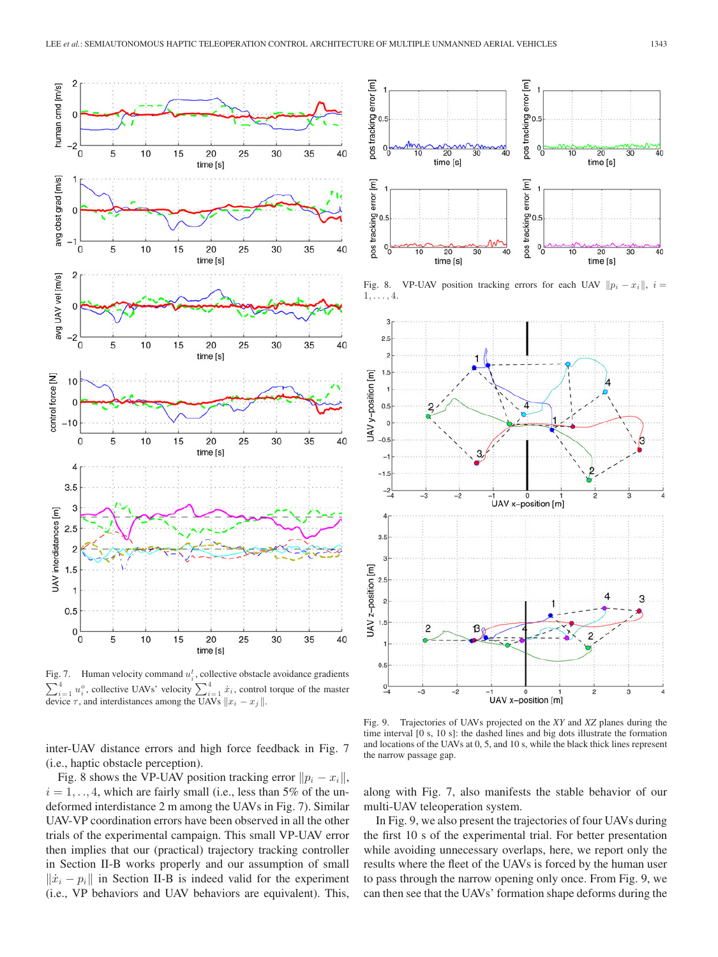

Fig. 7. Human velocity command  $u_i^t$ , collective obstacle avoidance gradients  $\sum_{i=1}^{4} u_i^o$ , collective UAVs' velocity  $\sum_{i=1}^{4} x_i$ , control torque of the master device  $\tau$ , and interdistances among the UAVs  $||x_i - x_j||$ .

inter-UAV distance errors and high force feedback in Fig. 7 (i.e., haptic obstacle perception).

Fig. 8 shows the VP-UAV position tracking error  $||p_i - x_i||$ ,  $i = 1, \ldots, 4$ , which are fairly small (i.e., less than 5% of the undeformed interdistance 2 m among the UAVs in Fig. 7). Similar UAV-VP coordination errors have been observed in all the other trials of the experimental campaign. This small VP-UAV error then implies that our (practical) trajectory tracking controller in Section II-B works properly and our assumption of small  $\|\dot{x}_i - p_i\|$  in Section II-B is indeed valid for the experiment (i.e., VP behaviors and UAV behaviors are equivalent). This,







Fig. 9. Trajectories of UAVs projected on the *XY* and *XZ* planes during the time interval [0 s, 10 s]: the dashed lines and big dots illustrate the formation and locations of the UAVs at 0, 5, and 10 s, while the black thick lines represent the narrow passage gap.

along with Fig. 7, also manifests the stable behavior of our multi-UAV teleoperation system.

In Fig. 9, we also present the trajectories of four UAVs during the first 10 s of the experimental trial. For better presentation while avoiding unnecessary overlaps, here, we report only the results where the fleet of the UAVs is forced by the human user to pass through the narrow opening only once. From Fig. 9, we can then see that the UAVs' formation shape deforms during the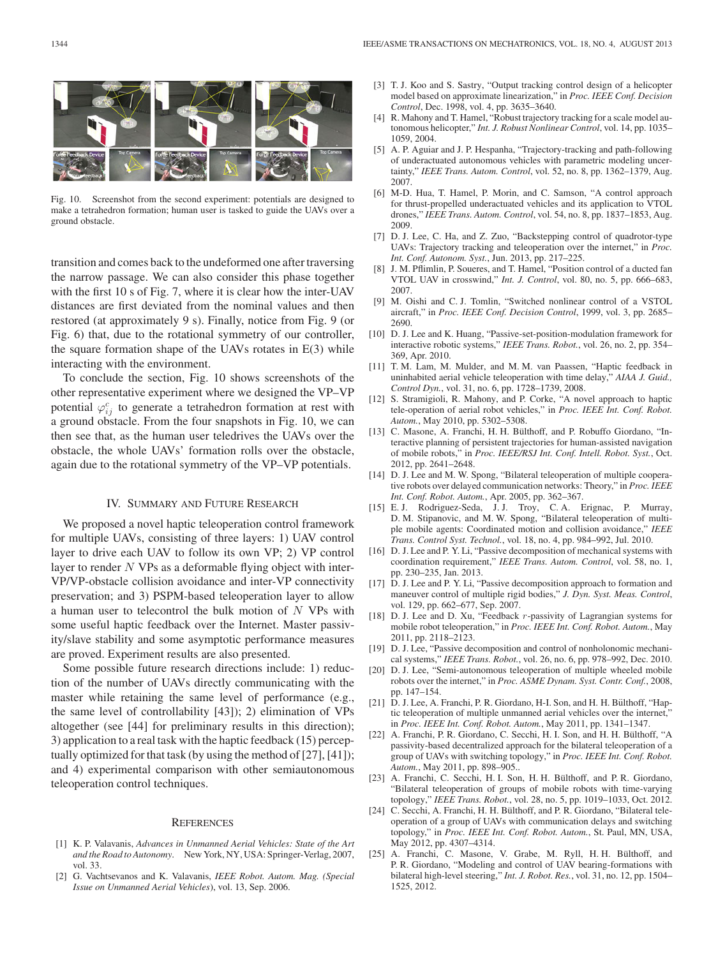

Fig. 10. Screenshot from the second experiment: potentials are designed to make a tetrahedron formation; human user is tasked to guide the UAVs over a ground obstacle.

transition and comes back to the undeformed one after traversing the narrow passage. We can also consider this phase together with the first 10 s of Fig. 7, where it is clear how the inter-UAV distances are first deviated from the nominal values and then restored (at approximately 9 s). Finally, notice from Fig. 9 (or Fig. 6) that, due to the rotational symmetry of our controller, the square formation shape of the UAVs rotates in  $E(3)$  while interacting with the environment.

To conclude the section, Fig. 10 shows screenshots of the other representative experiment where we designed the VP–VP potential  $\varphi_{ij}^c$  to generate a tetrahedron formation at rest with a ground obstacle. From the four snapshots in Fig. 10, we can then see that, as the human user teledrives the UAVs over the obstacle, the whole UAVs' formation rolls over the obstacle, again due to the rotational symmetry of the VP–VP potentials.

### IV. SUMMARY AND FUTURE RESEARCH

We proposed a novel haptic teleoperation control framework for multiple UAVs, consisting of three layers: 1) UAV control layer to drive each UAV to follow its own VP; 2) VP control layer to render N VPs as a deformable flying object with inter-VP/VP-obstacle collision avoidance and inter-VP connectivity preservation; and 3) PSPM-based teleoperation layer to allow a human user to telecontrol the bulk motion of  $N$  VPs with some useful haptic feedback over the Internet. Master passivity/slave stability and some asymptotic performance measures are proved. Experiment results are also presented.

Some possible future research directions include: 1) reduction of the number of UAVs directly communicating with the master while retaining the same level of performance (e.g., the same level of controllability [43]); 2) elimination of VPs altogether (see [44] for preliminary results in this direction); 3) application to a real task with the haptic feedback (15) perceptually optimized for that task (by using the method of [27], [41]); and 4) experimental comparison with other semiautonomous teleoperation control techniques.

#### **REFERENCES**

- [1] K. P. Valavanis, *Advances in Unmanned Aerial Vehicles: State of the Art and the Road to Autonomy*. New York, NY, USA: Springer-Verlag, 2007, vol. 33.
- [2] G. Vachtsevanos and K. Valavanis, *IEEE Robot. Autom. Mag. (Special Issue on Unmanned Aerial Vehicles*), vol. 13, Sep. 2006.
- [3] T. J. Koo and S. Sastry, "Output tracking control design of a helicopter model based on approximate linearization," in *Proc. IEEE Conf. Decision Control*, Dec. 1998, vol. 4, pp. 3635–3640.
- [4] R. Mahony and T. Hamel, "Robust trajectory tracking for a scale model autonomous helicopter," *Int. J. Robust Nonlinear Control*, vol. 14, pp. 1035– 1059, 2004.
- [5] A. P. Aguiar and J. P. Hespanha, "Trajectory-tracking and path-following of underactuated autonomous vehicles with parametric modeling uncertainty," *IEEE Trans. Autom. Control*, vol. 52, no. 8, pp. 1362–1379, Aug. 2007.
- [6] M-D. Hua, T. Hamel, P. Morin, and C. Samson, "A control approach for thrust-propelled underactuated vehicles and its application to VTOL drones," *IEEE Trans. Autom. Control*, vol. 54, no. 8, pp. 1837–1853, Aug. 2009.
- [7] D. J. Lee, C. Ha, and Z. Zuo, "Backstepping control of quadrotor-type UAVs: Trajectory tracking and teleoperation over the internet," in *Proc. Int. Conf. Autonom. Syst.*, Jun. 2013, pp. 217–225.
- [8] J. M. Pflimlin, P. Soueres, and T. Hamel, "Position control of a ducted fan VTOL UAV in crosswind," *Int. J. Control*, vol. 80, no. 5, pp. 666–683, 2007.
- [9] M. Oishi and C. J. Tomlin, "Switched nonlinear control of a VSTOL aircraft," in *Proc. IEEE Conf. Decision Control*, 1999, vol. 3, pp. 2685– 2690.
- [10] D. J. Lee and K. Huang, "Passive-set-position-modulation framework for interactive robotic systems," *IEEE Trans. Robot.*, vol. 26, no. 2, pp. 354– 369, Apr. 2010.
- [11] T. M. Lam, M. Mulder, and M. M. van Paassen, "Haptic feedback in uninhabited aerial vehicle teleoperation with time delay," *AIAA J. Guid., Control Dyn.*, vol. 31, no. 6, pp. 1728–1739, 2008.
- [12] S. Stramigioli, R. Mahony, and P. Corke, "A novel approach to haptic tele-operation of aerial robot vehicles," in *Proc. IEEE Int. Conf. Robot. Autom.*, May 2010, pp. 5302–5308.
- [13] C. Masone, A. Franchi, H. H. Bülthoff, and P. Robuffo Giordano, "Interactive planning of persistent trajectories for human-assisted navigation of mobile robots," in *Proc. IEEE/RSJ Int. Conf. Intell. Robot. Syst.*, Oct. 2012, pp. 2641–2648.
- [14] D. J. Lee and M. W. Spong, "Bilateral teleoperation of multiple cooperative robots over delayed communication networks: Theory," in *Proc. IEEE Int. Conf. Robot. Autom.*, Apr. 2005, pp. 362–367.
- [15] E. J. Rodriguez-Seda, J. J. Troy, C. A. Erignac, P. Murray, D. M. Stipanovic, and M. W. Spong, "Bilateral teleoperation of multiple mobile agents: Coordinated motion and collision avoidance," *IEEE Trans. Control Syst. Technol.*, vol. 18, no. 4, pp. 984–992, Jul. 2010.
- [16] D. J. Lee and P. Y. Li, "Passive decomposition of mechanical systems with coordination requirement," *IEEE Trans. Autom. Control*, vol. 58, no. 1, pp. 230–235, Jan. 2013.
- [17] D. J. Lee and P. Y. Li, "Passive decomposition approach to formation and maneuver control of multiple rigid bodies," *J. Dyn. Syst. Meas. Control*, vol. 129, pp. 662–677, Sep. 2007.
- [18] D. J. Lee and D. Xu, "Feedback r-passivity of Lagrangian systems for mobile robot teleoperation," in *Proc. IEEE Int. Conf. Robot. Autom.*, May 2011, pp. 2118–2123.
- [19] D. J. Lee, "Passive decomposition and control of nonholonomic mechanical systems," *IEEE Trans. Robot.*, vol. 26, no. 6, pp. 978–992, Dec. 2010.
- [20] D. J. Lee, "Semi-autonomous teleoperation of multiple wheeled mobile robots over the internet," in *Proc. ASME Dynam. Syst. Contr. Conf.*, 2008, pp. 147–154.
- [21] D. J. Lee, A. Franchi, P. R. Giordano, H-I. Son, and H. H. Bülthoff, "Haptic teleoperation of multiple unmanned aerial vehicles over the internet,' in *Proc. IEEE Int. Conf. Robot. Autom.*, May 2011, pp. 1341–1347.
- [22] A. Franchi, P. R. Giordano, C. Secchi, H. I. Son, and H. H. Bülthoff, "A passivity-based decentralized approach for the bilateral teleoperation of a group of UAVs with switching topology," in *Proc. IEEE Int. Conf. Robot. Autom.*, May 2011, pp. 898–905..
- [23] A. Franchi, C. Secchi, H. I. Son, H. H. Bülthoff, and P. R. Giordano, "Bilateral teleoperation of groups of mobile robots with time-varying topology," *IEEE Trans. Robot.*, vol. 28, no. 5, pp. 1019–1033, Oct. 2012.
- [24] C. Secchi, A. Franchi, H. H. Bülthoff, and P. R. Giordano, "Bilateral teleoperation of a group of UAVs with communication delays and switching topology," in *Proc. IEEE Int. Conf. Robot. Autom.*, St. Paul, MN, USA, May 2012, pp. 4307–4314.
- [25] A. Franchi, C. Masone, V. Grabe, M. Ryll, H. H. Bülthoff, and P. R. Giordano, "Modeling and control of UAV bearing-formations with bilateral high-level steering," *Int. J. Robot. Res.*, vol. 31, no. 12, pp. 1504– 1525, 2012.